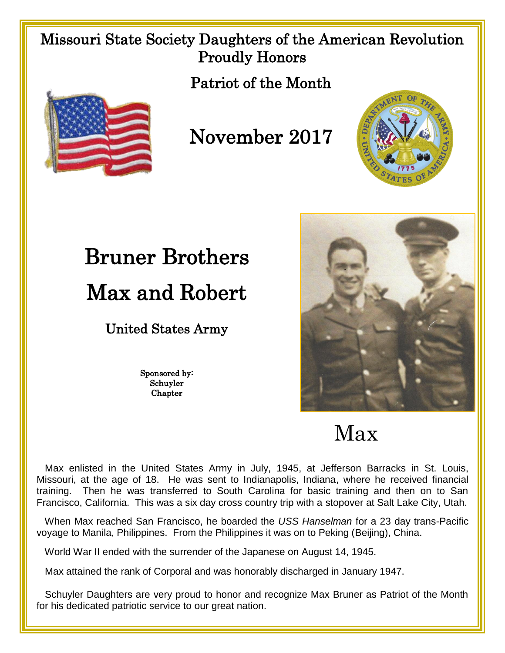### Missouri State Society Daughters of the American Revolution Proudly Honors

Patriot of the Month



November 2017



United States Army

Sponsored by: Schuyler Chapter



Max

 Max enlisted in the United States Army in July, 1945, at Jefferson Barracks in St. Louis, Missouri, at the age of 18. He was sent to Indianapolis, Indiana, where he received financial training. Then he was transferred to South Carolina for basic training and then on to San Francisco, California. This was a six day cross country trip with a stopover at Salt Lake City, Utah.

 When Max reached San Francisco, he boarded the *USS Hanselman* for a 23 day trans-Pacific voyage to Manila, Philippines. From the Philippines it was on to Peking (Beijing), China.

World War II ended with the surrender of the Japanese on August 14, 1945.

Max attained the rank of Corporal and was honorably discharged in January 1947.

 Schuyler Daughters are very proud to honor and recognize Max Bruner as Patriot of the Month for his dedicated patriotic service to our great nation.